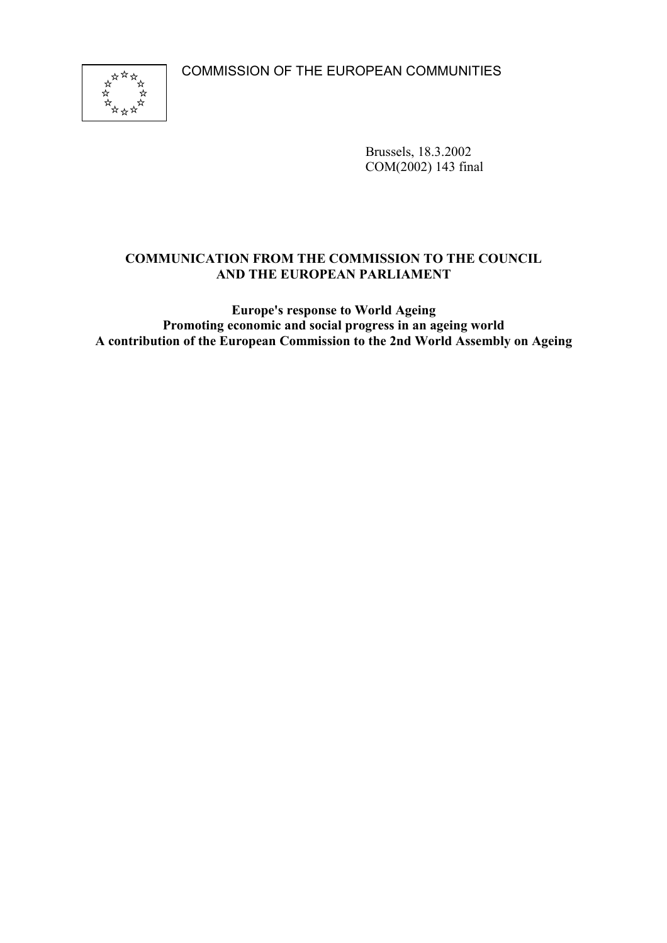COMMISSION OF THE EUROPEAN COMMUNITIES



Brussels, 18.3.2002 COM(2002) 143 final

### **COMMUNICATION FROM THE COMMISSION TO THE COUNCIL AND THE EUROPEAN PARLIAMENT**

**Europe's response to World Ageing Promoting economic and social progress in an ageing world A contribution of the European Commission to the 2nd World Assembly on Ageing**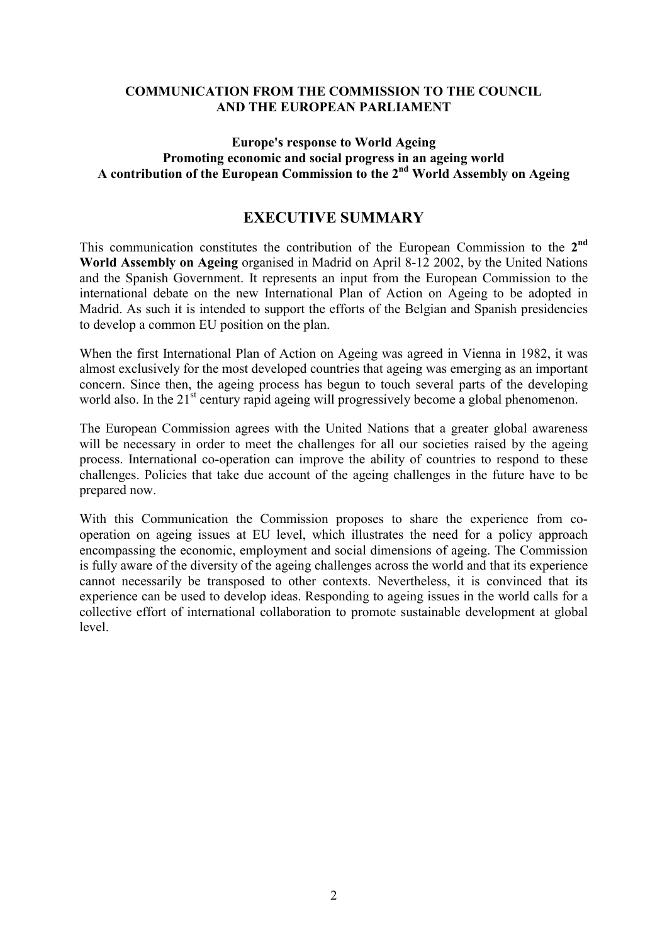#### **COMMUNICATION FROM THE COMMISSION TO THE COUNCIL AND THE EUROPEAN PARLIAMENT**

#### **Europe's response to World Ageing Promoting economic and social progress in an ageing world A contribution of the European Commission to the 2nd World Assembly on Ageing**

# **EXECUTIVE SUMMARY**

This communication constitutes the contribution of the European Commission to the **2nd World Assembly on Ageing** organised in Madrid on April 8-12 2002, by the United Nations and the Spanish Government. It represents an input from the European Commission to the international debate on the new International Plan of Action on Ageing to be adopted in Madrid. As such it is intended to support the efforts of the Belgian and Spanish presidencies to develop a common EU position on the plan.

When the first International Plan of Action on Ageing was agreed in Vienna in 1982, it was almost exclusively for the most developed countries that ageing was emerging as an important concern. Since then, the ageing process has begun to touch several parts of the developing world also. In the 21<sup>st</sup> century rapid ageing will progressively become a global phenomenon.

The European Commission agrees with the United Nations that a greater global awareness will be necessary in order to meet the challenges for all our societies raised by the ageing process. International co-operation can improve the ability of countries to respond to these challenges. Policies that take due account of the ageing challenges in the future have to be prepared now.

With this Communication the Commission proposes to share the experience from cooperation on ageing issues at EU level, which illustrates the need for a policy approach encompassing the economic, employment and social dimensions of ageing. The Commission is fully aware of the diversity of the ageing challenges across the world and that its experience cannot necessarily be transposed to other contexts. Nevertheless, it is convinced that its experience can be used to develop ideas. Responding to ageing issues in the world calls for a collective effort of international collaboration to promote sustainable development at global level.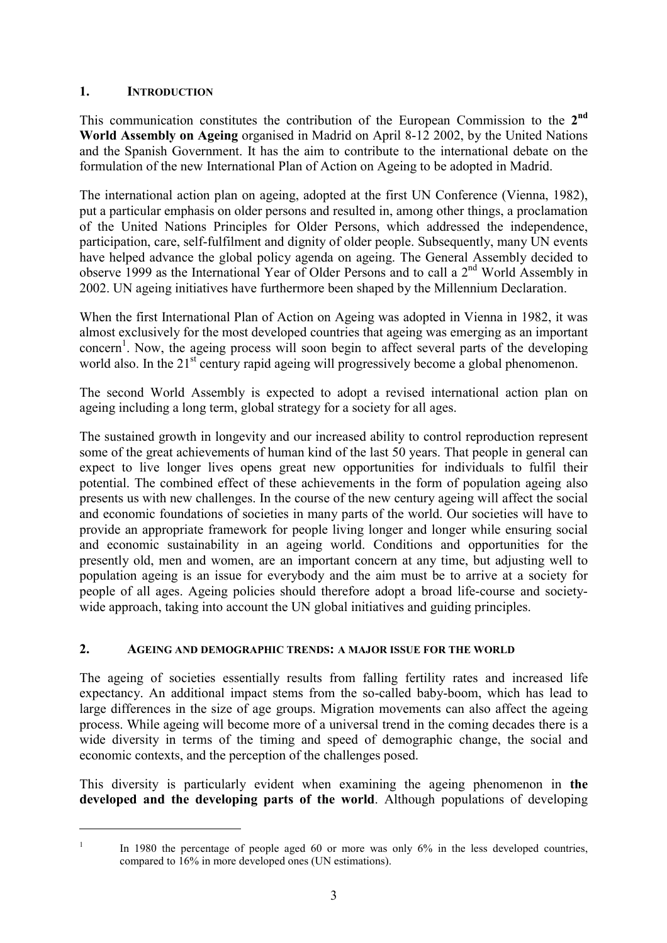### **1. INTRODUCTION**

This communication constitutes the contribution of the European Commission to the **2nd World Assembly on Ageing** organised in Madrid on April 8-12 2002, by the United Nations and the Spanish Government. It has the aim to contribute to the international debate on the formulation of the new International Plan of Action on Ageing to be adopted in Madrid.

The international action plan on ageing, adopted at the first UN Conference (Vienna, 1982), put a particular emphasis on older persons and resulted in, among other things, a proclamation of the United Nations Principles for Older Persons, which addressed the independence, participation, care, self-fulfilment and dignity of older people. Subsequently, many UN events have helped advance the global policy agenda on ageing. The General Assembly decided to observe 1999 as the International Year of Older Persons and to call a  $2<sup>nd</sup>$  World Assembly in 2002. UN ageing initiatives have furthermore been shaped by the Millennium Declaration.

When the first International Plan of Action on Ageing was adopted in Vienna in 1982, it was almost exclusively for the most developed countries that ageing was emerging as an important concern<sup>[1](#page-2-0)</sup>. Now, the ageing process will soon begin to affect several parts of the developing world also. In the 21<sup>st</sup> century rapid ageing will progressively become a global phenomenon.

The second World Assembly is expected to adopt a revised international action plan on ageing including a long term, global strategy for a society for all ages.

The sustained growth in longevity and our increased ability to control reproduction represent some of the great achievements of human kind of the last 50 years. That people in general can expect to live longer lives opens great new opportunities for individuals to fulfil their potential. The combined effect of these achievements in the form of population ageing also presents us with new challenges. In the course of the new century ageing will affect the social and economic foundations of societies in many parts of the world. Our societies will have to provide an appropriate framework for people living longer and longer while ensuring social and economic sustainability in an ageing world. Conditions and opportunities for the presently old, men and women, are an important concern at any time, but adjusting well to population ageing is an issue for everybody and the aim must be to arrive at a society for people of all ages. Ageing policies should therefore adopt a broad life-course and societywide approach, taking into account the UN global initiatives and guiding principles.

#### **2. AGEING AND DEMOGRAPHIC TRENDS: A MAJOR ISSUE FOR THE WORLD**

The ageing of societies essentially results from falling fertility rates and increased life expectancy. An additional impact stems from the so-called baby-boom, which has lead to large differences in the size of age groups. Migration movements can also affect the ageing process. While ageing will become more of a universal trend in the coming decades there is a wide diversity in terms of the timing and speed of demographic change, the social and economic contexts, and the perception of the challenges posed.

This diversity is particularly evident when examining the ageing phenomenon in **the developed and the developing parts of the world**. Although populations of developing

<span id="page-2-0"></span><sup>&</sup>lt;sup>1</sup> In 1980 the percentage of people aged 60 or more was only  $6\%$  in the less developed countries, compared to 16% in more developed ones (UN estimations).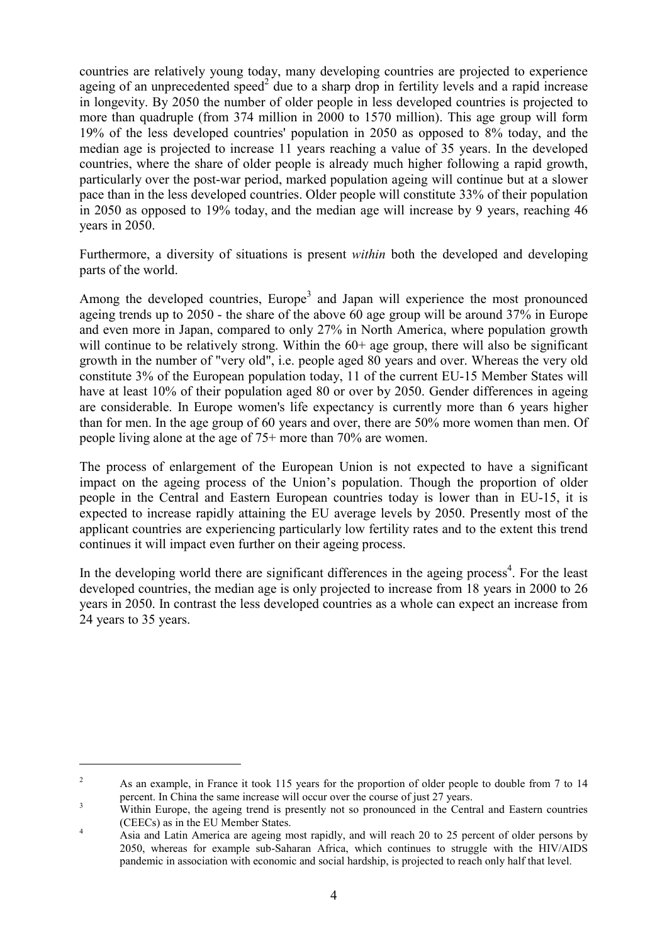countries are relatively young today, many developing countries are projected to experience ageingof an unprecedented speed<sup>2</sup> due to a sharp drop in fertility levels and a rapid increase in longevity. By 2050 the number of older people in less developed countries is projected to more than quadruple (from 374 million in 2000 to 1570 million). This age group will form 19% of the less developed countries' population in 2050 as opposed to 8% today, and the median age is projected to increase 11 years reaching a value of 35 years. In the developed countries, where the share of older people is already much higher following a rapid growth, particularly over the post-war period, marked population ageing will continue but at a slower pace than in the less developed countries. Older people will constitute 33% of their population in 2050 as opposed to 19% today, and the median age will increase by 9 years, reaching 46 years in 2050.

Furthermore, a diversity of situations is present *within* both the developed and developing parts of the world.

Among the developed countries, Europe<sup>[3](#page-3-1)</sup> and Japan will experience the most pronounced ageing trends up to 2050 - the share of the above 60 age group will be around 37% in Europe and even more in Japan, compared to only 27% in North America, where population growth will continue to be relatively strong. Within the  $60+$  age group, there will also be significant growth in the number of "very old", i.e. people aged 80 years and over. Whereas the very old constitute 3% of the European population today, 11 of the current EU-15 Member States will have at least 10% of their population aged 80 or over by 2050. Gender differences in ageing are considerable. In Europe women's life expectancy is currently more than 6 years higher than for men. In the age group of 60 years and over, there are 50% more women than men. Of people living alone at the age of 75+ more than 70% are women.

The process of enlargement of the European Union is not expected to have a significant impact on the ageing process of the Union's population. Though the proportion of older people in the Central and Eastern European countries today is lower than in EU-15, it is expected to increase rapidly attaining the EU average levels by 2050. Presently most of the applicant countries are experiencing particularly low fertility rates and to the extent this trend continues it will impact even further on their ageing process.

In the developing world there are significant differences in the ageing process<sup>[4](#page-3-2)</sup>. For the least developed countries, the median age is only projected to increase from 18 years in 2000 to 26 years in 2050. In contrast the less developed countries as a whole can expect an increase from 24 years to 35 years.

<span id="page-3-0"></span><sup>&</sup>lt;sup>2</sup> As an example, in France it took 115 years for the proportion of older people to double from 7 to 14 percent. In China the same increase will occur over the course of just 27 years.<br>Within Europe, the ageing trend is presently not so pronounced in the Central and Eastern countries

<span id="page-3-1"></span>

<span id="page-3-2"></span><sup>(</sup>CEECs) as in the EU Member States.<br>
4 Asia and Latin America are ageing most rapidly, and will reach 20 to 25 percent of older persons by 2050, whereas for example sub-Saharan Africa, which continues to struggle with the HIV/AIDS pandemic in association with economic and social hardship, is projected to reach only half that level.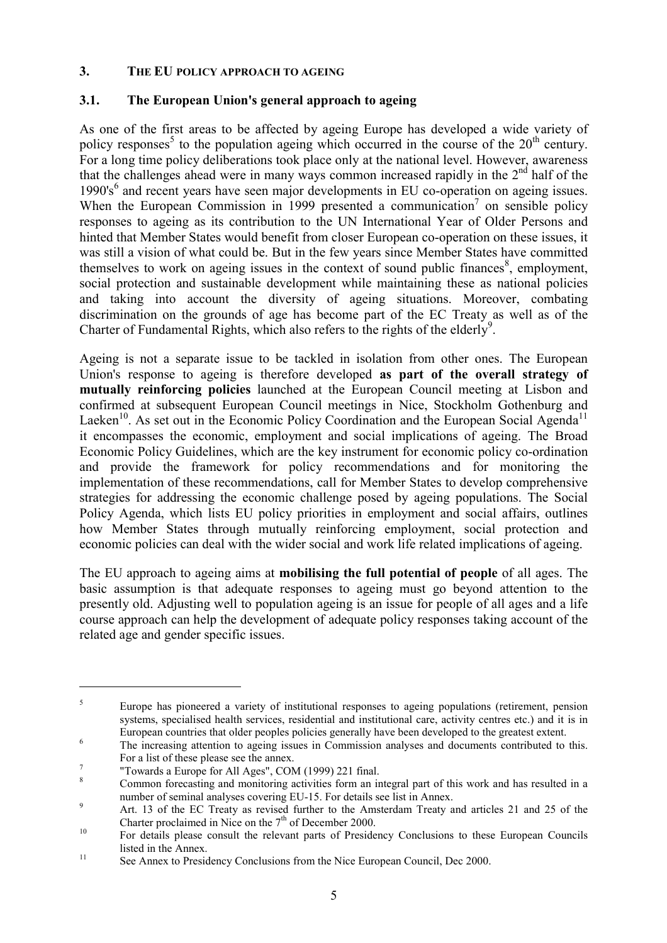#### **3. THE EU POLICY APPROACH TO AGEING**

### **3.1. The European Union's general approach to ageing**

As one of the first areas to be affected by ageing Europe has developed a wide variety of policy responses<sup>[5](#page-4-0)</sup> to the population ageing which occurred in the course of the  $20<sup>th</sup>$  century. For a long time policy deliberations took place only at the national level. However, awareness that the challenges ahead were in many ways common increased rapidly in the  $2<sup>nd</sup>$  half of the 1990's<sup>[6](#page-4-1)</sup> and recent years have seen major developments in EU co-operation on ageing issues. When the European Commission in 1999 presented a communication<sup>7</sup> on sensible policy responses to ageing as its contribution to the UN International Year of Older Persons and hinted that Member States would benefit from closer European co-operation on these issues, it was still a vision of what could be. But in the few years since Member States have committed themselves to work on ageing issues in the context of sound public finances $\delta$ , employment, social protection and sustainable development while maintaining these as national policies and taking into account the diversity of ageing situations. Moreover, combating discrimination on the grounds of age has become part of the EC Treaty as well as of the Charter of Fundamental Rights, which also refers to the rights of the elderly<sup>9</sup>.

Ageing is not a separate issue to be tackled in isolation from other ones. The European Union's response to ageing is therefore developed **as part of the overall strategy of mutually reinforcing policies** launched at the European Council meeting at Lisbon and confirmed at subsequent European Council meetings in Nice, Stockholm Gothenburg and Laeken<sup>10</sup>. As set out in the Economic Policy Coordination and the European Social Agenda<sup>11</sup> it encompasses the economic, employment and social implications of ageing. The Broad Economic Policy Guidelines, which are the key instrument for economic policy co-ordination and provide the framework for policy recommendations and for monitoring the implementation of these recommendations, call for Member States to develop comprehensive strategies for addressing the economic challenge posed by ageing populations. The Social Policy Agenda, which lists EU policy priorities in employment and social affairs, outlines how Member States through mutually reinforcing employment, social protection and economic policies can deal with the wider social and work life related implications of ageing.

The EU approach to ageing aims at **mobilising the full potential of people** of all ages. The basic assumption is that adequate responses to ageing must go beyond attention to the presently old. Adjusting well to population ageing is an issue for people of all ages and a life course approach can help the development of adequate policy responses taking account of the related age and gender specific issues.

<span id="page-4-0"></span><sup>&</sup>lt;sup>5</sup> Europe has pioneered a variety of institutional responses to ageing populations (retirement, pension systems, specialised health services, residential and institutional care, activity centres etc.) and it is in European countries that older peoples policies generally have been developed to the greatest extent. <sup>6</sup> The increasing attention to ageing issues in Commission analyses and documents contributed to this.

<span id="page-4-1"></span>For a list of these please see the annex.<br>
<sup>7</sup> "Towards a Europe for All Ages", COM (1999) 221 final.<br>
<sup>8</sup> Common forecasting and monitoring activities form an integral part of this work and has resulted in a

<span id="page-4-2"></span>

<span id="page-4-3"></span>

<span id="page-4-4"></span>number of seminal analyses covering EU-15. For details see list in Annex.<br>Art. 13 of the EC Treaty as revised further to the Amsterdam Treaty and articles 21 and 25 of the Charter proclaimed in Nice on the  $7<sup>th</sup>$  of D

<span id="page-4-5"></span><sup>&</sup>lt;sup>10</sup> For details please consult the relevant parts of Presidency Conclusions to these European Councils 11 listed in the Annex.<br>
11 See Annex to Presidency Conclusions from the Nice European Council, Dec 2000.

<span id="page-4-6"></span>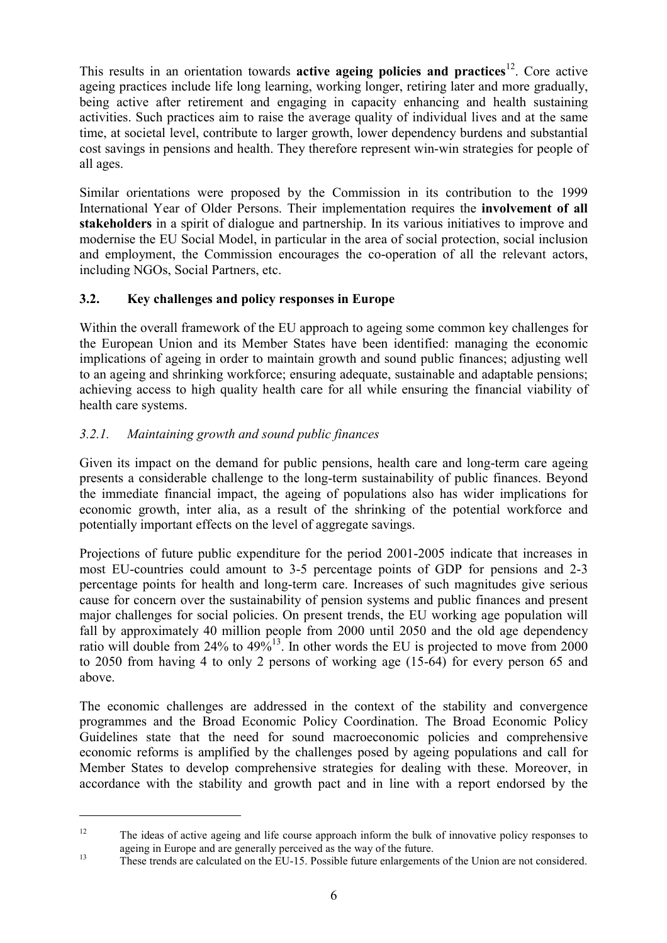This results in an orientation towards **active ageing policies and practices**[12.](#page-5-0) Core active ageing practices include life long learning, working longer, retiring later and more gradually, being active after retirement and engaging in capacity enhancing and health sustaining activities. Such practices aim to raise the average quality of individual lives and at the same time, at societal level, contribute to larger growth, lower dependency burdens and substantial cost savings in pensions and health. They therefore represent win-win strategies for people of all ages.

Similar orientations were proposed by the Commission in its contribution to the 1999 International Year of Older Persons. Their implementation requires the **involvement of all stakeholders** in a spirit of dialogue and partnership. In its various initiatives to improve and modernise the EU Social Model, in particular in the area of social protection, social inclusion and employment, the Commission encourages the co-operation of all the relevant actors, including NGOs, Social Partners, etc.

# **3.2. Key challenges and policy responses in Europe**

Within the overall framework of the EU approach to ageing some common key challenges for the European Union and its Member States have been identified: managing the economic implications of ageing in order to maintain growth and sound public finances; adjusting well to an ageing and shrinking workforce; ensuring adequate, sustainable and adaptable pensions; achieving access to high quality health care for all while ensuring the financial viability of health care systems.

# *3.2.1. Maintaining growth and sound public finances*

 $\overline{a}$ 

Given its impact on the demand for public pensions, health care and long-term care ageing presents a considerable challenge to the long-term sustainability of public finances. Beyond the immediate financial impact, the ageing of populations also has wider implications for economic growth, inter alia, as a result of the shrinking of the potential workforce and potentially important effects on the level of aggregate savings.

Projections of future public expenditure for the period 2001-2005 indicate that increases in most EU-countries could amount to 3-5 percentage points of GDP for pensions and 2-3 percentage points for health and long-term care. Increases of such magnitudes give serious cause for concern over the sustainability of pension systems and public finances and present major challenges for social policies. On present trends, the EU working age population will fall by approximately 40 million people from 2000 until 2050 and the old age dependency ratio will double from  $24\%$  to  $49\%$ <sup>13</sup>. In other words the EU is projected to move from 2000 to 2050 from having 4 to only 2 persons of working age (15-64) for every person 65 and above.

The economic challenges are addressed in the context of the stability and convergence programmes and the Broad Economic Policy Coordination. The Broad Economic Policy Guidelines state that the need for sound macroeconomic policies and comprehensive economic reforms is amplified by the challenges posed by ageing populations and call for Member States to develop comprehensive strategies for dealing with these. Moreover, in accordance with the stability and growth pact and in line with a report endorsed by the

<span id="page-5-0"></span><sup>&</sup>lt;sup>12</sup> The ideas of active ageing and life course approach inform the bulk of innovative policy responses to ageing in Europe and are generally perceived as the way of the future.<br>
These trends are calculated on the EU-15. Possible future enlargements of the Union are not considered.

<span id="page-5-1"></span>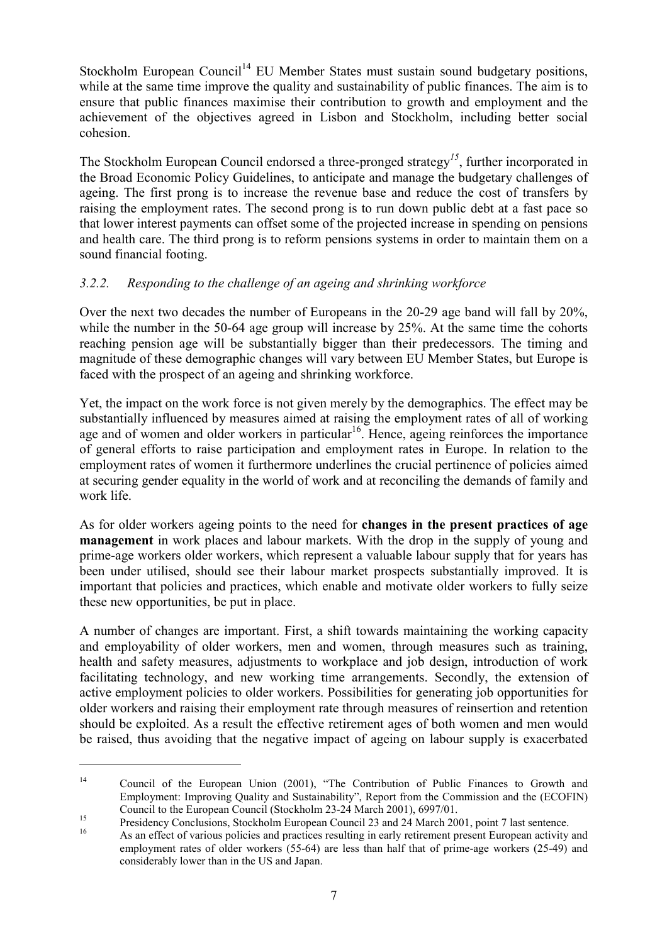Stockholm European Council<sup>14</sup> EU Member States must sustain sound budgetary positions, while at the same time improve the quality and sustainability of public finances. The aim is to ensure that public finances maximise their contribution to growth and employment and the achievement of the objectives agreed in Lisbon and Stockholm, including better social cohesion.

The Stockholm European Council endorsed a three-pronged strategy*[15](#page-6-1)*, further incorporated in the Broad Economic Policy Guidelines, to anticipate and manage the budgetary challenges of ageing. The first prong is to increase the revenue base and reduce the cost of transfers by raising the employment rates. The second prong is to run down public debt at a fast pace so that lower interest payments can offset some of the projected increase in spending on pensions and health care. The third prong is to reform pensions systems in order to maintain them on a sound financial footing.

### *3.2.2. Responding to the challenge of an ageing and shrinking workforce*

Over the next two decades the number of Europeans in the 20-29 age band will fall by 20%, while the number in the 50-64 age group will increase by 25%. At the same time the cohorts reaching pension age will be substantially bigger than their predecessors. The timing and magnitude of these demographic changes will vary between EU Member States, but Europe is faced with the prospect of an ageing and shrinking workforce.

Yet, the impact on the work force is not given merely by the demographics. The effect may be substantially influenced by measures aimed at raising the employment rates of all of working age and of women and older workers in particular<sup>[16](#page-6-2)</sup>. Hence, ageing reinforces the importance of general efforts to raise participation and employment rates in Europe. In relation to the employment rates of women it furthermore underlines the crucial pertinence of policies aimed at securing gender equality in the world of work and at reconciling the demands of family and work life.

As for older workers ageing points to the need for **changes in the present practices of age management** in work places and labour markets. With the drop in the supply of young and prime-age workers older workers, which represent a valuable labour supply that for years has been under utilised, should see their labour market prospects substantially improved. It is important that policies and practices, which enable and motivate older workers to fully seize these new opportunities, be put in place.

A number of changes are important. First, a shift towards maintaining the working capacity and employability of older workers, men and women, through measures such as training, health and safety measures, adjustments to workplace and job design, introduction of work facilitating technology, and new working time arrangements. Secondly, the extension of active employment policies to older workers. Possibilities for generating job opportunities for older workers and raising their employment rate through measures of reinsertion and retention should be exploited. As a result the effective retirement ages of both women and men would be raised, thus avoiding that the negative impact of ageing on labour supply is exacerbated

<span id="page-6-0"></span><sup>&</sup>lt;sup>14</sup> Council of the European Union (2001), "The Contribution of Public Finances to Growth and Employment: Improving Quality and Sustainability", Report from the Commission and the (ECOFIN)

Council to the European Council (Stockholm 23-24 March 2001), 6997/01.<br>
<sup>15</sup><br>
<sup>15</sup><br>
As an effect of various policies and practices resulting in early retirement present European activity and

<span id="page-6-2"></span><span id="page-6-1"></span>employment rates of older workers (55-64) are less than half that of prime-age workers (25-49) and considerably lower than in the US and Japan.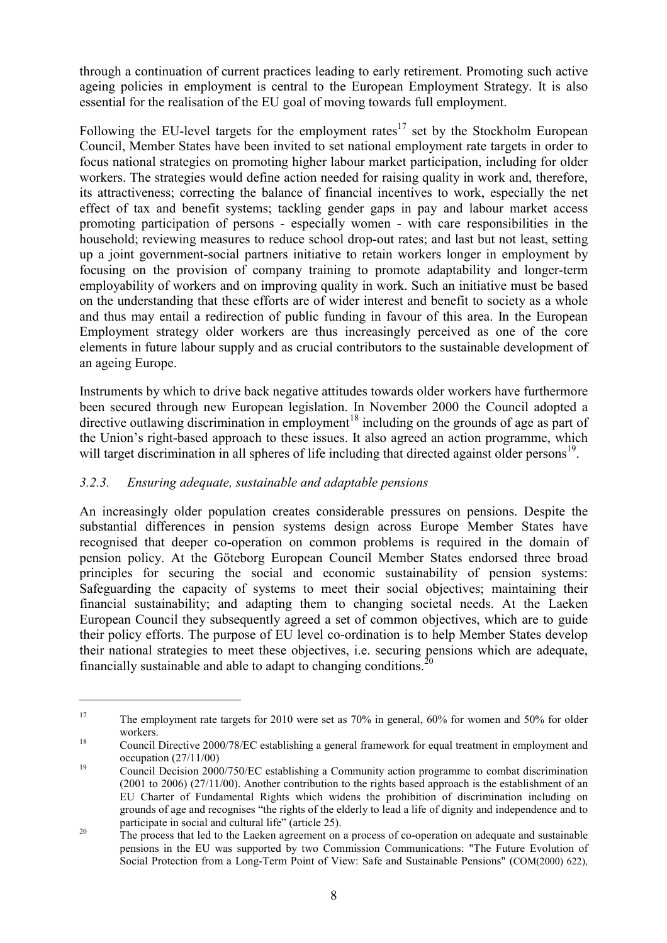<span id="page-7-3"></span>through a continuation of current practices leading to early retirement. Promoting such active ageing policies in employment is central to the European Employment Strategy. It is also essential for the realisation of the EU goal of moving towards full employment.

Following the EU-level targets for the employment rates<sup>17</sup> set by the Stockholm European Council, Member States have been invited to set national employment rate targets in order to focus national strategies on promoting higher labour market participation, including for older workers. The strategies would define action needed for raising quality in work and, therefore, its attractiveness; correcting the balance of financial incentives to work, especially the net effect of tax and benefit systems; tackling gender gaps in pay and labour market access promoting participation of persons - especially women - with care responsibilities in the household; reviewing measures to reduce school drop-out rates; and last but not least, setting up a joint government-social partners initiative to retain workers longer in employment by focusing on the provision of company training to promote adaptability and longer-term employability of workers and on improving quality in work. Such an initiative must be based on the understanding that these efforts are of wider interest and benefit to society as a whole and thus may entail a redirection of public funding in favour of this area. In the European Employment strategy older workers are thus increasingly perceived as one of the core elements in future labour supply and as crucial contributors to the sustainable development of an ageing Europe.

Instruments by which to drive back negative attitudes towards older workers have furthermore been secured through new European legislation. In November 2000 the Council adopted a directive outlawing discrimination in employment<sup>18</sup> including on the grounds of age as part of the Union's right-based approach to these issues. It also agreed an action programme, which will target discrimination in all spheres of life including that directed against older persons<sup>19</sup>.

# *3.2.3. Ensuring adequate, sustainable and adaptable pensions*

 $\overline{a}$ 

An increasingly older population creates considerable pressures on pensions. Despite the substantial differences in pension systems design across Europe Member States have recognised that deeper co-operation on common problems is required in the domain of pension policy. At the Göteborg European Council Member States endorsed three broad principles for securing the social and economic sustainability of pension systems: Safeguarding the capacity of systems to meet their social objectives; maintaining their financial sustainability; and adapting them to changing societal needs. At the Laeken European Council they subsequently agreed a set of common objectives, which are to guide their policy efforts. The purpose of EU level co-ordination is to help Member States develop their national strategies to meet these objectives, i.e. securing pensions which are adequate, financially sustainable and able to adapt to changing conditions.<sup>[20](#page-7-3)</sup>

<span id="page-7-0"></span><sup>&</sup>lt;sup>17</sup> The employment rate targets for 2010 were set as 70% in general, 60% for women and 50% for older workers.<br><sup>18</sup> Council Directive 2000/78/EC establishing a general framework for equal treatment in employment and

<span id="page-7-1"></span>occupation (27/11/00)<br>Council Decision 2000/750/EC establishing a Community action programme to combat discrimination

<span id="page-7-2"></span><sup>(2001</sup> to 2006) (27/11/00). Another contribution to the rights based approach is the establishment of an EU Charter of Fundamental Rights which widens the prohibition of discrimination including on grounds of age and recognises "the rights of the elderly to lead a life of dignity and independence and to

 $20$  The process that led to the Laeken agreement on a process of co-operation on adequate and sustainable pensions in the EU was supported by two Commission Communications: "The Future Evolution of Social Protection from a Long-Term Point of View: Safe and Sustainable Pensions" (COM(2000) 622),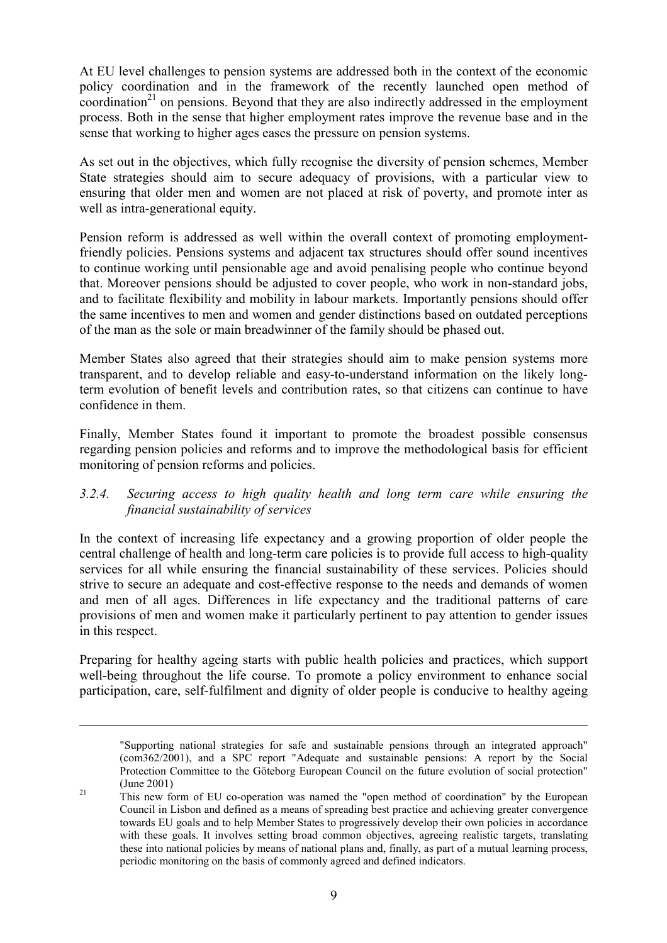At EU level challenges to pension systems are addressed both in the context of the economic policy coordination and in the framework of the recently launched open method of coordination<sup>21</sup> on pensions. Beyond that they are also indirectly addressed in the employment process. Both in the sense that higher employment rates improve the revenue base and in the sense that working to higher ages eases the pressure on pension systems.

As set out in the objectives, which fully recognise the diversity of pension schemes, Member State strategies should aim to secure adequacy of provisions, with a particular view to ensuring that older men and women are not placed at risk of poverty, and promote inter as well as intra-generational equity.

Pension reform is addressed as well within the overall context of promoting employmentfriendly policies. Pensions systems and adjacent tax structures should offer sound incentives to continue working until pensionable age and avoid penalising people who continue beyond that. Moreover pensions should be adjusted to cover people, who work in non-standard jobs, and to facilitate flexibility and mobility in labour markets. Importantly pensions should offer the same incentives to men and women and gender distinctions based on outdated perceptions of the man as the sole or main breadwinner of the family should be phased out.

Member States also agreed that their strategies should aim to make pension systems more transparent, and to develop reliable and easy-to-understand information on the likely longterm evolution of benefit levels and contribution rates, so that citizens can continue to have confidence in them.

Finally, Member States found it important to promote the broadest possible consensus regarding pension policies and reforms and to improve the methodological basis for efficient monitoring of pension reforms and policies.

### *3.2.4. Securing access to high quality health and long term care while ensuring the financial sustainability of services*

In the context of increasing life expectancy and a growing proportion of older people the central challenge of health and long-term care policies is to provide full access to high-quality services for all while ensuring the financial sustainability of these services. Policies should strive to secure an adequate and cost-effective response to the needs and demands of women and men of all ages. Differences in life expectancy and the traditional patterns of care provisions of men and women make it particularly pertinent to pay attention to gender issues in this respect.

Preparing for healthy ageing starts with public health policies and practices, which support well-being throughout the life course. To promote a policy environment to enhance social participation, care, self-fulfilment and dignity of older people is conducive to healthy ageing

<sup>&</sup>quot;Supporting national strategies for safe and sustainable pensions through an integrated approach" (com362/2001), and a SPC report "Adequate and sustainable pensions: A report by the Social Protection Committee to the Göteborg European Council on the future evolution of social protection"

<span id="page-8-0"></span><sup>&</sup>lt;sup>21</sup> This new form of EU co-operation was named the "open method of coordination" by the European Council in Lisbon and defined as a means of spreading best practice and achieving greater convergence towards EU goals and to help Member States to progressively develop their own policies in accordance with these goals. It involves setting broad common objectives, agreeing realistic targets, translating these into national policies by means of national plans and, finally, as part of a mutual learning process, periodic monitoring on the basis of commonly agreed and defined indicators.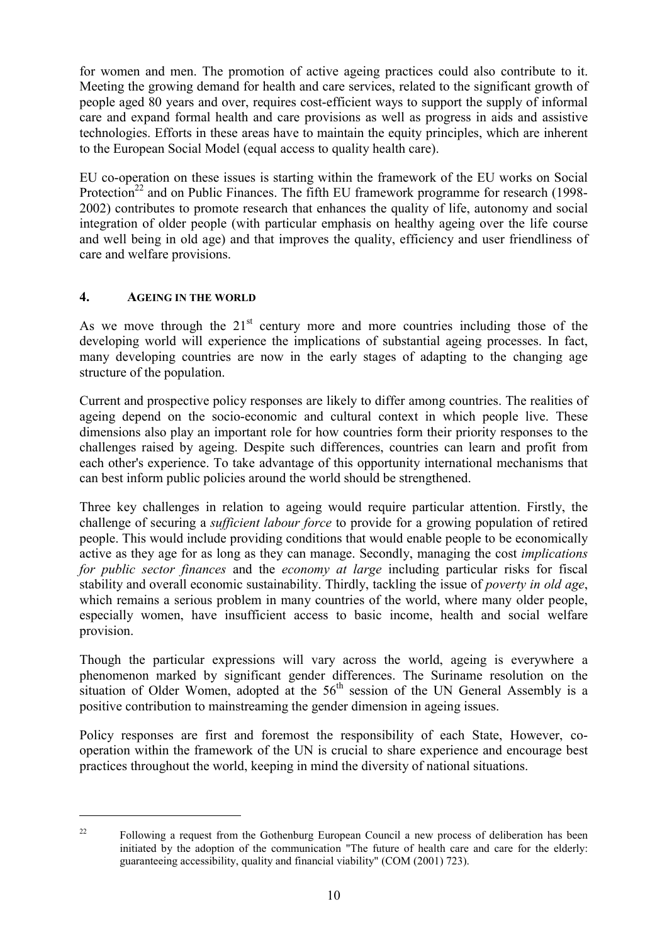for women and men. The promotion of active ageing practices could also contribute to it. Meeting the growing demand for health and care services, related to the significant growth of people aged 80 years and over, requires cost-efficient ways to support the supply of informal care and expand formal health and care provisions as well as progress in aids and assistive technologies. Efforts in these areas have to maintain the equity principles, which are inherent to the European Social Model (equal access to quality health care).

EU co-operation on these issues is starting within the framework of the EU works on Social Protection<sup>22</sup> and on Public Finances. The fifth EU framework programme for research (1998-2002) contributes to promote research that enhances the quality of life, autonomy and social integration of older people (with particular emphasis on healthy ageing over the life course and well being in old age) and that improves the quality, efficiency and user friendliness of care and welfare provisions.

# **4. AGEING IN THE WORLD**

 $\overline{a}$ 

As we move through the  $21<sup>st</sup>$  century more and more countries including those of the developing world will experience the implications of substantial ageing processes. In fact, many developing countries are now in the early stages of adapting to the changing age structure of the population.

Current and prospective policy responses are likely to differ among countries. The realities of ageing depend on the socio-economic and cultural context in which people live. These dimensions also play an important role for how countries form their priority responses to the challenges raised by ageing. Despite such differences, countries can learn and profit from each other's experience. To take advantage of this opportunity international mechanisms that can best inform public policies around the world should be strengthened.

Three key challenges in relation to ageing would require particular attention. Firstly, the challenge of securing a *sufficient labour force* to provide for a growing population of retired people. This would include providing conditions that would enable people to be economically active as they age for as long as they can manage. Secondly, managing the cost *implications for public sector finances* and the *economy at large* including particular risks for fiscal stability and overall economic sustainability. Thirdly, tackling the issue of *poverty in old age*, which remains a serious problem in many countries of the world, where many older people, especially women, have insufficient access to basic income, health and social welfare provision.

Though the particular expressions will vary across the world, ageing is everywhere a phenomenon marked by significant gender differences. The Suriname resolution on the situation of Older Women, adopted at the  $56<sup>th</sup>$  session of the UN General Assembly is a positive contribution to mainstreaming the gender dimension in ageing issues.

Policy responses are first and foremost the responsibility of each State, However, cooperation within the framework of the UN is crucial to share experience and encourage best practices throughout the world, keeping in mind the diversity of national situations.

<span id="page-9-0"></span><sup>&</sup>lt;sup>22</sup> Following a request from the Gothenburg European Council a new process of deliberation has been initiated by the adoption of the communication "The future of health care and care for the elderly: guaranteeing accessibility, quality and financial viability" (COM (2001) 723).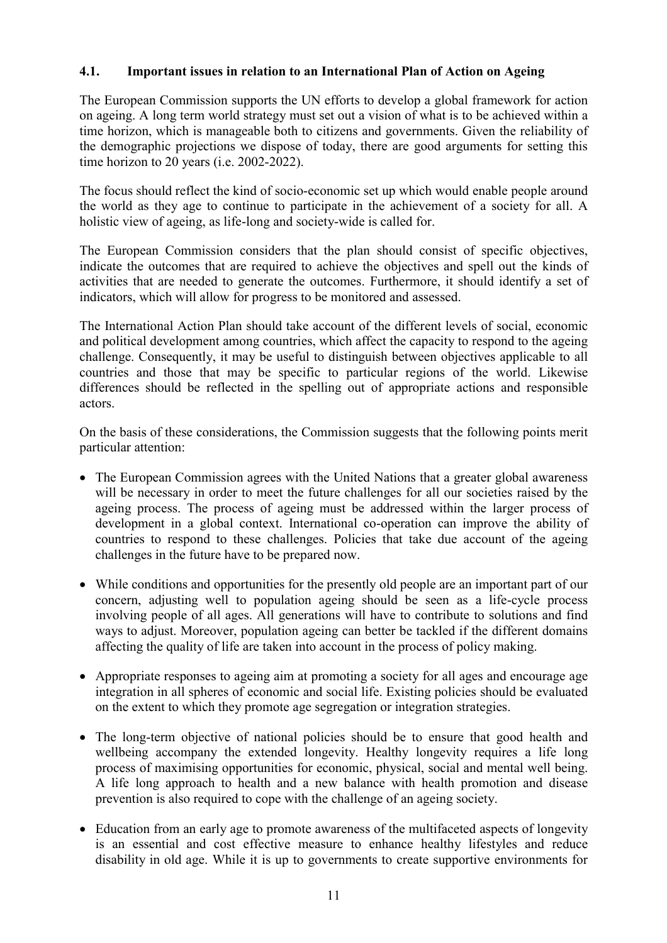### **4.1. Important issues in relation to an International Plan of Action on Ageing**

The European Commission supports the UN efforts to develop a global framework for action on ageing. A long term world strategy must set out a vision of what is to be achieved within a time horizon, which is manageable both to citizens and governments. Given the reliability of the demographic projections we dispose of today, there are good arguments for setting this time horizon to 20 years (i.e. 2002-2022).

The focus should reflect the kind of socio-economic set up which would enable people around the world as they age to continue to participate in the achievement of a society for all. A holistic view of ageing, as life-long and society-wide is called for.

The European Commission considers that the plan should consist of specific objectives, indicate the outcomes that are required to achieve the objectives and spell out the kinds of activities that are needed to generate the outcomes. Furthermore, it should identify a set of indicators, which will allow for progress to be monitored and assessed.

The International Action Plan should take account of the different levels of social, economic and political development among countries, which affect the capacity to respond to the ageing challenge. Consequently, it may be useful to distinguish between objectives applicable to all countries and those that may be specific to particular regions of the world. Likewise differences should be reflected in the spelling out of appropriate actions and responsible actors.

On the basis of these considerations, the Commission suggests that the following points merit particular attention:

- The European Commission agrees with the United Nations that a greater global awareness will be necessary in order to meet the future challenges for all our societies raised by the ageing process. The process of ageing must be addressed within the larger process of development in a global context. International co-operation can improve the ability of countries to respond to these challenges. Policies that take due account of the ageing challenges in the future have to be prepared now.
- While conditions and opportunities for the presently old people are an important part of our concern, adjusting well to population ageing should be seen as a life-cycle process involving people of all ages. All generations will have to contribute to solutions and find ways to adjust. Moreover, population ageing can better be tackled if the different domains affecting the quality of life are taken into account in the process of policy making.
- Appropriate responses to ageing aim at promoting a society for all ages and encourage age integration in all spheres of economic and social life. Existing policies should be evaluated on the extent to which they promote age segregation or integration strategies.
- The long-term objective of national policies should be to ensure that good health and wellbeing accompany the extended longevity. Healthy longevity requires a life long process of maximising opportunities for economic, physical, social and mental well being. A life long approach to health and a new balance with health promotion and disease prevention is also required to cope with the challenge of an ageing society.
- Education from an early age to promote awareness of the multifaceted aspects of longevity is an essential and cost effective measure to enhance healthy lifestyles and reduce disability in old age. While it is up to governments to create supportive environments for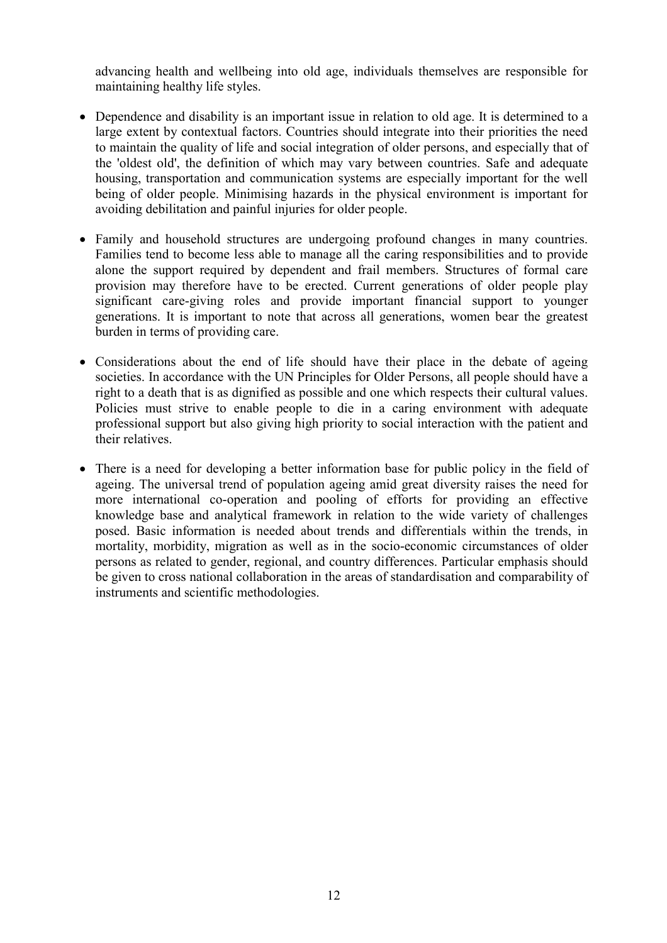advancing health and wellbeing into old age, individuals themselves are responsible for maintaining healthy life styles.

- Dependence and disability is an important issue in relation to old age. It is determined to a large extent by contextual factors. Countries should integrate into their priorities the need to maintain the quality of life and social integration of older persons, and especially that of the 'oldest old', the definition of which may vary between countries. Safe and adequate housing, transportation and communication systems are especially important for the well being of older people. Minimising hazards in the physical environment is important for avoiding debilitation and painful injuries for older people.
- Family and household structures are undergoing profound changes in many countries. Families tend to become less able to manage all the caring responsibilities and to provide alone the support required by dependent and frail members. Structures of formal care provision may therefore have to be erected. Current generations of older people play significant care-giving roles and provide important financial support to younger generations. It is important to note that across all generations, women bear the greatest burden in terms of providing care.
- Considerations about the end of life should have their place in the debate of ageing societies. In accordance with the UN Principles for Older Persons, all people should have a right to a death that is as dignified as possible and one which respects their cultural values. Policies must strive to enable people to die in a caring environment with adequate professional support but also giving high priority to social interaction with the patient and their relatives.
- There is a need for developing a better information base for public policy in the field of ageing. The universal trend of population ageing amid great diversity raises the need for more international co-operation and pooling of efforts for providing an effective knowledge base and analytical framework in relation to the wide variety of challenges posed. Basic information is needed about trends and differentials within the trends, in mortality, morbidity, migration as well as in the socio-economic circumstances of older persons as related to gender, regional, and country differences. Particular emphasis should be given to cross national collaboration in the areas of standardisation and comparability of instruments and scientific methodologies.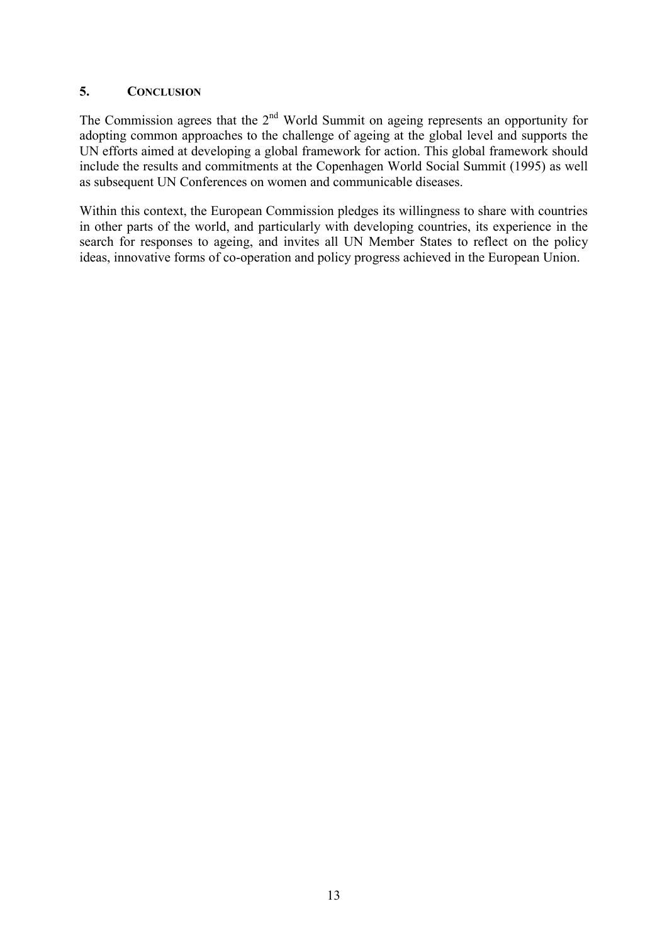### **5. CONCLUSION**

The Commission agrees that the  $2<sup>nd</sup>$  World Summit on ageing represents an opportunity for adopting common approaches to the challenge of ageing at the global level and supports the UN efforts aimed at developing a global framework for action. This global framework should include the results and commitments at the Copenhagen World Social Summit (1995) as well as subsequent UN Conferences on women and communicable diseases.

Within this context, the European Commission pledges its willingness to share with countries in other parts of the world, and particularly with developing countries, its experience in the search for responses to ageing, and invites all UN Member States to reflect on the policy ideas, innovative forms of co-operation and policy progress achieved in the European Union.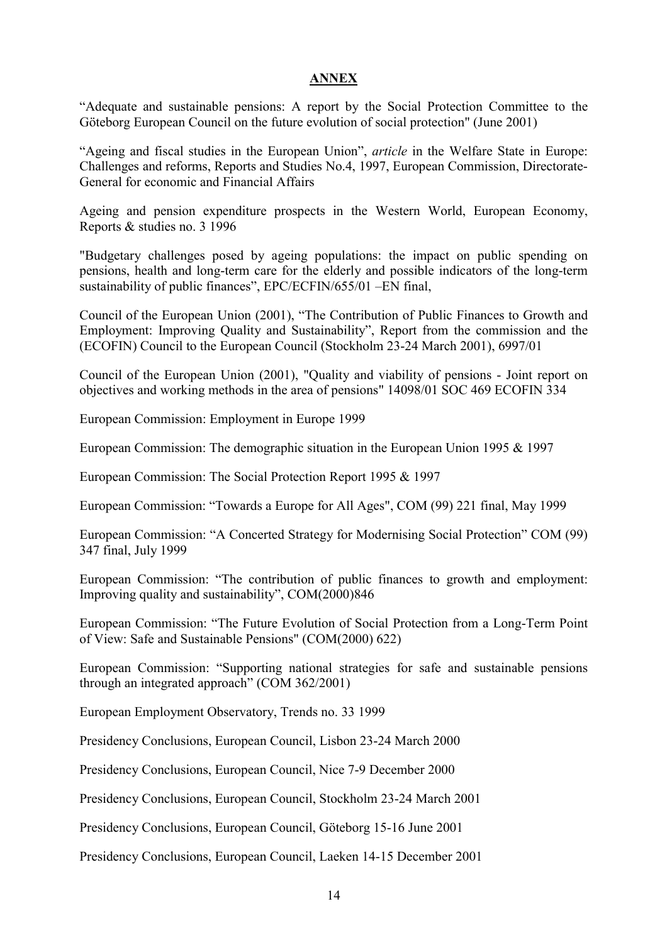#### **ANNEX**

"Adequate and sustainable pensions: A report by the Social Protection Committee to the Göteborg European Council on the future evolution of social protection" (June 2001)

"Ageing and fiscal studies in the European Union", *article* in the Welfare State in Europe: Challenges and reforms, Reports and Studies No.4, 1997, European Commission, Directorate-General for economic and Financial Affairs

Ageing and pension expenditure prospects in the Western World, European Economy, Reports & studies no. 3 1996

"Budgetary challenges posed by ageing populations: the impact on public spending on pensions, health and long-term care for the elderly and possible indicators of the long-term sustainability of public finances", EPC/ECFIN/655/01 –EN final,

Council of the European Union (2001), "The Contribution of Public Finances to Growth and Employment: Improving Quality and Sustainability", Report from the commission and the (ECOFIN) Council to the European Council (Stockholm 23-24 March 2001), 6997/01

Council of the European Union (2001), "Quality and viability of pensions - Joint report on objectives and working methods in the area of pensions" 14098/01 SOC 469 ECOFIN 334

European Commission: Employment in Europe 1999

European Commission: The demographic situation in the European Union 1995 & 1997

European Commission: The Social Protection Report 1995 & 1997

European Commission: "Towards a Europe for All Ages", COM (99) 221 final, May 1999

European Commission: "A Concerted Strategy for Modernising Social Protection" COM (99) 347 final, July 1999

European Commission: "The contribution of public finances to growth and employment: Improving quality and sustainability", COM(2000)846

European Commission: "The Future Evolution of Social Protection from a Long-Term Point of View: Safe and Sustainable Pensions" (COM(2000) 622)

European Commission: "Supporting national strategies for safe and sustainable pensions through an integrated approach" (COM 362/2001)

European Employment Observatory, Trends no. 33 1999

Presidency Conclusions, European Council, Lisbon 23-24 March 2000

Presidency Conclusions, European Council, Nice 7-9 December 2000

Presidency Conclusions, European Council, Stockholm 23-24 March 2001

Presidency Conclusions, European Council, Göteborg 15-16 June 2001

Presidency Conclusions, European Council, Laeken 14-15 December 2001